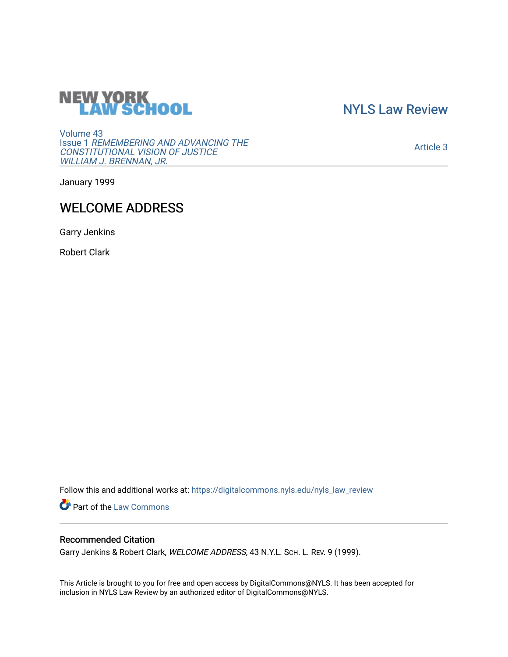# **NEW YORK<br>LAW SCHOOL**

[NYLS Law Review](https://digitalcommons.nyls.edu/nyls_law_review) 

[Volume 43](https://digitalcommons.nyls.edu/nyls_law_review/vol43) Issue 1 [REMEMBERING AND ADVANCING THE](https://digitalcommons.nyls.edu/nyls_law_review/vol43/iss1)  [CONSTITUTIONAL VISION OF JUSTICE](https://digitalcommons.nyls.edu/nyls_law_review/vol43/iss1)  [WILLIAM J. BRENNAN, JR.](https://digitalcommons.nyls.edu/nyls_law_review/vol43/iss1)

[Article 3](https://digitalcommons.nyls.edu/nyls_law_review/vol43/iss1/3) 

January 1999

## WELCOME ADDRESS

Garry Jenkins

Robert Clark

Follow this and additional works at: [https://digitalcommons.nyls.edu/nyls\\_law\\_review](https://digitalcommons.nyls.edu/nyls_law_review?utm_source=digitalcommons.nyls.edu%2Fnyls_law_review%2Fvol43%2Fiss1%2F3&utm_medium=PDF&utm_campaign=PDFCoverPages) 

Part of the [Law Commons](https://network.bepress.com/hgg/discipline/578?utm_source=digitalcommons.nyls.edu%2Fnyls_law_review%2Fvol43%2Fiss1%2F3&utm_medium=PDF&utm_campaign=PDFCoverPages)

### Recommended Citation

Garry Jenkins & Robert Clark, WELCOME ADDRESS, 43 N.Y.L. SCH. L. REV. 9 (1999).

This Article is brought to you for free and open access by DigitalCommons@NYLS. It has been accepted for inclusion in NYLS Law Review by an authorized editor of DigitalCommons@NYLS.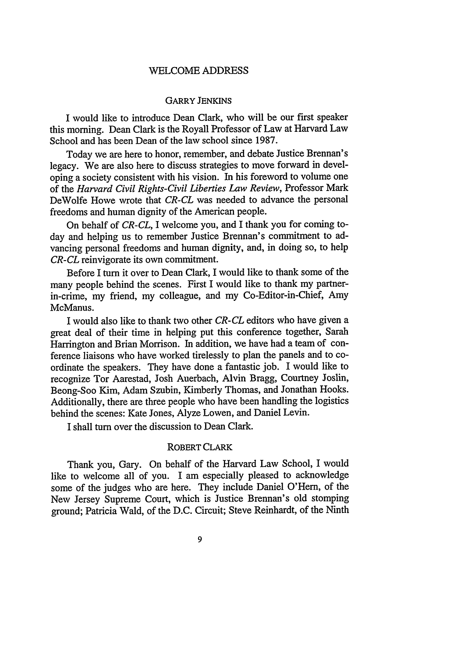#### WELCOME ADDRESS

#### GARRY JENKINS

I would like to introduce Dean Clark, who will be our first speaker this morning. Dean Clark is the Royall Professor of Law at Harvard Law School and has been Dean of the law school since 1987.

Today we are here to honor, remember, and debate Justice Brennan's legacy. We are also here to discuss strategies to move forward in developing a society consistent with his vision. In his foreword to volume one of the *Harvard Civil Rights-Civil Liberties Law Review,* Professor Mark DeWolfe Howe wrote that *CR-CL* was needed to advance the personal freedoms and human dignity of the American people.

On behalf of *CR-CL,* I welcome you, and I thank you for coming today and helping us to remember Justice Brennan's commitment to advancing personal freedoms and human dignity, and, in doing so, to help *CR-CL* reinvigorate its own commitment.

Before I turn it over to Dean Clark, I would like to thank some of the many people behind the scenes. First I would like to thank my partnerin-crime, my friend, my colleague, and my Co-Editor-in-Chief, Amy McManus.

I would also like to thank two other *CR-CL* editors who have given a great deal of their time in helping put this conference together, Sarah Harrington and Brian Morrison. In addition, we have had a team of conference liaisons who have worked tirelessly to plan the panels and to coordinate the speakers. They have done a fantastic job. I would like to recognize Tor Aarestad, Josh Auerbach, Alvin Bragg, Courtney Joslin, Beong-Soo Kim, Adam Szubin, Kimberly Thomas, and Jonathan Hooks. Additionally, there are three people who have been handling the logistics behind the scenes: Kate Jones, Alyze Lowen, and Daniel Levin.

I shall turn over the discussion to Dean Clark.

#### ROBERT CLARK

Thank you, Gary. On behalf of the Harvard Law School, I would like to welcome all of you. I am especially pleased to acknowledge some of the judges who are here. They include Daniel O'Hem, of the New Jersey Supreme Court, which is Justice Brennan's old stomping ground; Patricia Wald, of the D.C. Circuit; Steve Reinhardt, of the Ninth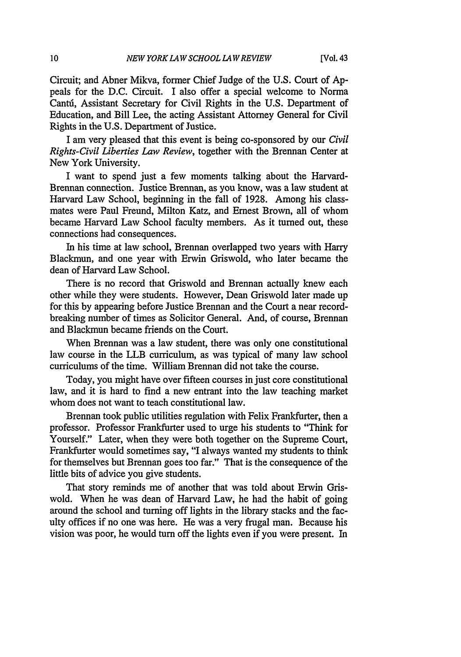Circuit; and Abner Mikva, former Chief Judge of the **U.S.** Court of Appeals for the D.C. Circuit. I also offer a special welcome to Norma Canti, Assistant Secretary for Civil Rights in the U.S. Department of Education, and Bill Lee, the acting Assistant Attorney General for Civil Rights in the U.S. Department of Justice.

I am very pleased that this event is being co-sponsored by our *Civil Rights-Civil Liberties Law Review,* together with the Brennan Center at New York University.

I want to spend just a few moments talking about the Harvard-Brennan connection. Justice Brennan, as you know, was a law student at Harvard Law School, beginning in the fall of 1928. Among his classmates were Paul Freund, Milton Katz, and Ernest Brown, all of whom became Harvard Law School faculty members. As it turned out, these connections had consequences.

In his time at law school, Brennan overlapped two years with Harry Blackmun, and one year with Erwin Griswold, who later became the dean of Harvard Law School.

There is no record that Griswold and Brennan actually knew each other while they were students. However, Dean Griswold later made up for this by appearing before Justice Brennan and the Court a near recordbreaking number of times as Solicitor General. And, of course, Brennan and Blackmun became friends on the Court.

When Brennan was a law student, there was only one constitutional law course in the LLB curriculum, as was typical of many law school curriculums of the time. William Brennan did not take the course.

Today, you might have over fifteen courses in just core constitutional law, and it is hard to find a new entrant into the law teaching market whom does not want to teach constitutional law.

Brennan took public utilities regulation with Felix Frankfurter, then a professor. Professor Frankfurter used to urge his students to "Think for Yourself." Later, when they were both together on the Supreme Court, Frankfurter would sometimes say, "I always wanted my students to think for themselves but Brennan goes too far." That is the consequence of the little bits of advice you give students.

That story reminds me of another that was told about Erwin Griswold. When he was dean of Harvard Law, he had the habit of going around the school and turning off lights in the library stacks and the faculty offices if no one was here. He was a very frugal man. Because his vision was poor, he would turn off the lights even if you were present. In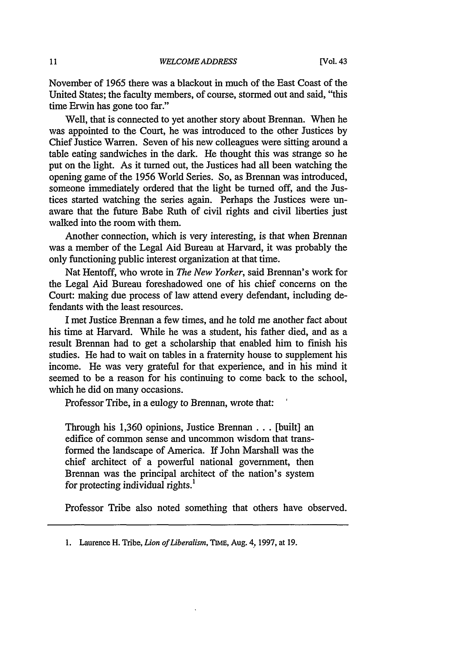November of 1965 there was a blackout in much of the East Coast of the United States; the faculty members, of course, stormed out and said, "this time Erwin has gone too far."

Well, that is connected to yet another story about Brennan. When he was appointed to the Court, he was introduced to the other Justices by Chief Justice Warren. Seven of his new colleagues were sitting around a table eating sandwiches in the dark. He thought this was strange so he put on the light. As it turned out, the Justices had all been watching the opening game of the 1956 World Series. So, as Brennan was introduced, someone immediately ordered that the light be turned off, and the Justices started watching the series again. Perhaps the Justices were unaware that the future Babe Ruth of civil rights and civil liberties just walked into the room with them.

Another connection, which is very interesting, is that when Brennan was a member of the Legal Aid Bureau at Harvard, it was probably the only functioning public interest organization at that time.

Nat Hentoff, who wrote in *The New Yorker,* said Brennan's work for the Legal Aid Bureau foreshadowed one of his chief concerns on the Court: making due process of law attend every defendant, including defendants with the least resources.

I met Justice Brennan a few times, and he told me another fact about his time at Harvard. While he was a student, his father died, and as a result Brennan had to get a scholarship that enabled him to finish his studies. He had to wait on tables in a fraternity house to supplement his income. He was very grateful for that experience, and in his mind it seemed to be a reason for his continuing to come back to the school, which he did on many occasions.

Professor Tribe, in a eulogy to Brennan, wrote that:

Through his 1,360 opinions, Justice Brennan ... [built] an edifice of common sense and uncommon wisdom that transformed the landscape of America. If John Marshall was the chief architect of a powerful national government, then Brennan was the principal architect of the nation's system for protecting individual rights.'

Professor Tribe also noted something that others have observed.

**<sup>1.</sup>** Laurence H. Tribe, *Lion of Liberalism,* TIME, Aug. 4, 1997, at **19.**